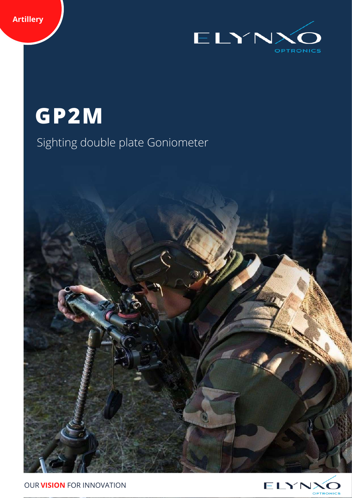**Artillery**



**GP2M**

# Sighting double plate Goniometer